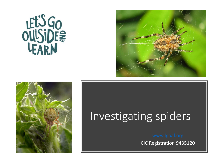





## Investigating spiders

CIC Registration 9435120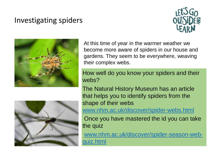## Investigating spiders





At this time of year in the warmer weather we become more aware of spiders in our house and gardens. They seem to be everywhere, weaving their complex webs.

How well do you know your spiders and their webs?

The Natural History Museum has an article that helps you to identify spiders from the shape of their webs

[www.nhm.ac.uk/discover/spider-webs.html](https://www.nhm.ac.uk/discover/spider-webs.html)

Once you have mastered the id you can take the quiz

[www.nhm.ac.uk/discover/spider-season-web](http://www.nhm.ac.uk/discover/spider-season-web-quiz.html)quiz.html

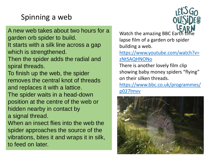## Spinning a web

A new web takes about two hours for a garden orb spider to build. It starts with a silk line across a gap which is strengthened. Then the spider adds the radial and spiral threads. To finish up the web, the spider removes the central knot of threads and replaces it with a lattice. The spider waits in a head-down position at the centre of the web or hidden nearby in contact by a signal thread. When an insect flies into the web the

spider approaches the source of the vibrations, bites it and wraps it in silk, to feed on later.

Watch the amazing BBC Earth time lapse film of a garden orb spider building a web.

[https://www.youtube.com/watch?v=](https://www.youtube.com/watch?v=zNtSAQHNONo) zNtSAQHNONo

There is another lovely film clip showing baby money spiders "flying" on their silken threads.

[https://www.bbc.co.uk/programmes/](https://www.bbc.co.uk/programmes/p027lmvv) p027lmvv